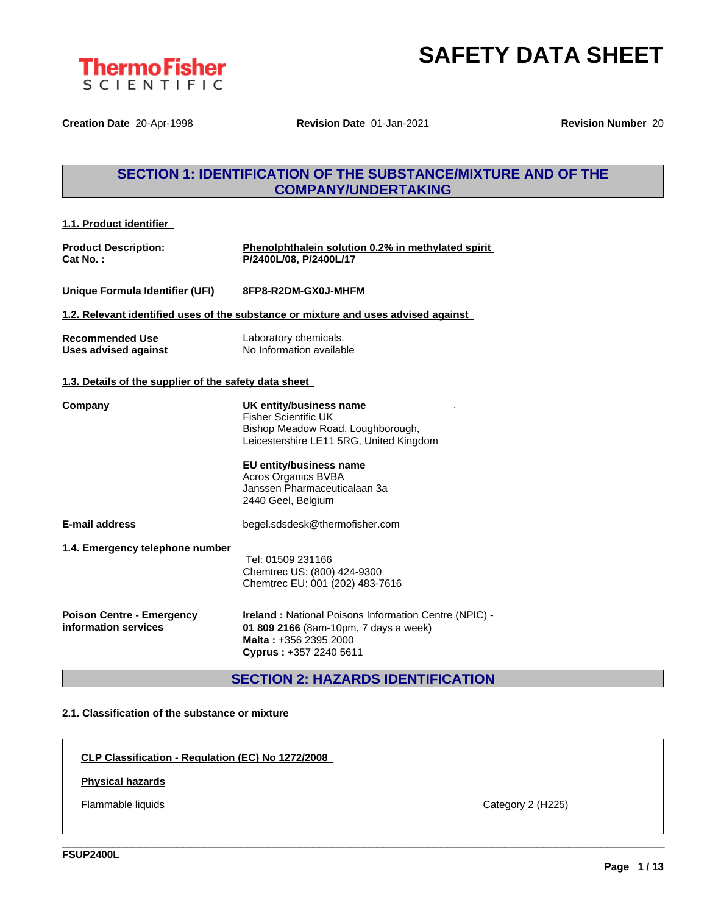

**Creation Date** 20-Apr-1998 **Revision Date** 01-Jan-2021 **Revision Number** 20

# **SECTION 1: IDENTIFICATION OF THE SUBSTANCE/MIXTURE AND OF THE COMPANY/UNDERTAKING**

| 1.1. Product identifier                                  |                                                                                                                                                                                                                                                |
|----------------------------------------------------------|------------------------------------------------------------------------------------------------------------------------------------------------------------------------------------------------------------------------------------------------|
| <b>Product Description:</b><br>Cat No. :                 | Phenolphthalein solution 0.2% in methylated spirit<br>P/2400L/08, P/2400L/17                                                                                                                                                                   |
| Unique Formula Identifier (UFI)                          | 8FP8-R2DM-GX0J-MHFM                                                                                                                                                                                                                            |
|                                                          | 1.2. Relevant identified uses of the substance or mixture and uses advised against                                                                                                                                                             |
| <b>Recommended Use</b><br>Uses advised against           | Laboratory chemicals.<br>No Information available                                                                                                                                                                                              |
| 1.3. Details of the supplier of the safety data sheet    |                                                                                                                                                                                                                                                |
| Company                                                  | UK entity/business name<br><b>Fisher Scientific UK</b><br>Bishop Meadow Road, Loughborough,<br>Leicestershire LE11 5RG, United Kingdom<br>EU entity/business name<br>Acros Organics BVBA<br>Janssen Pharmaceuticalaan 3a<br>2440 Geel, Belgium |
| E-mail address                                           | begel.sdsdesk@thermofisher.com                                                                                                                                                                                                                 |
| 1.4. Emergency telephone number                          | Tel: 01509 231166<br>Chemtrec US: (800) 424-9300<br>Chemtrec EU: 001 (202) 483-7616                                                                                                                                                            |
| <b>Poison Centre - Emergency</b><br>information services | <b>Ireland: National Poisons Information Centre (NPIC) -</b><br>01 809 2166 (8am-10pm, 7 days a week)<br>Malta: +356 2395 2000<br>Cyprus: +357 2240 5611                                                                                       |

**SECTION 2: HAZARDS IDENTIFICATION**

\_\_\_\_\_\_\_\_\_\_\_\_\_\_\_\_\_\_\_\_\_\_\_\_\_\_\_\_\_\_\_\_\_\_\_\_\_\_\_\_\_\_\_\_\_\_\_\_\_\_\_\_\_\_\_\_\_\_\_\_\_\_\_\_\_\_\_\_\_\_\_\_\_\_\_\_\_\_\_\_\_\_\_\_\_\_\_\_\_\_\_\_\_\_

### **2.1. Classification of the substance or mixture**

**CLP Classification - Regulation (EC) No 1272/2008**

#### **Physical hazards**

Flammable liquids Category 2 (H225)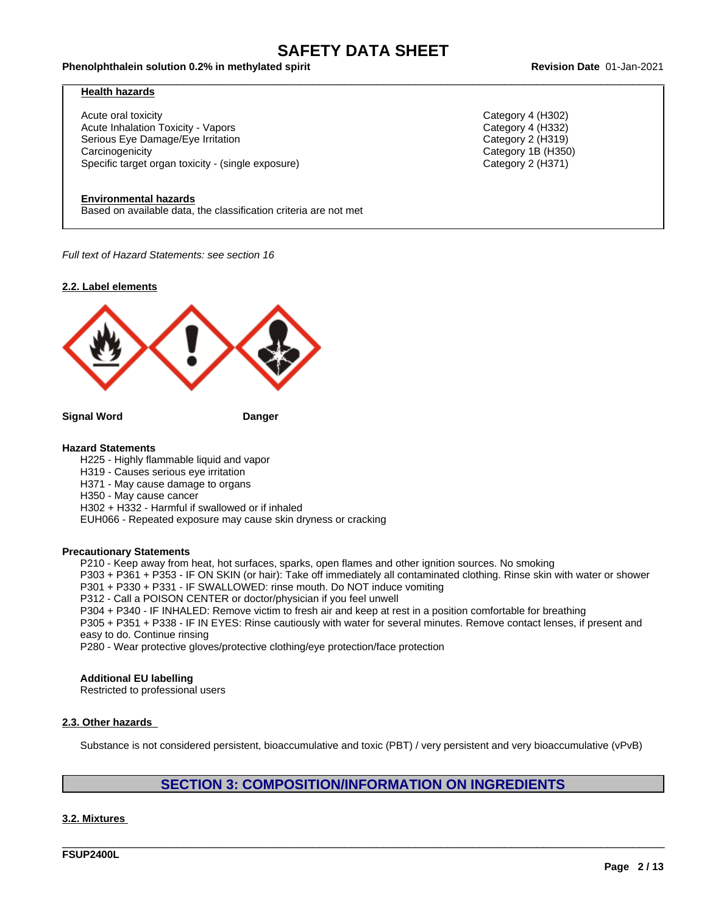#### Phenolphthalein solution 0.2% in methylated spirit example and the state of the Revision Date 01-Jan-2021

#### **Health hazards**

Acute oral toxicity Category 4 (H302) Acute Inhalation Toxicity - Vapors Category 4 (H332) Serious Eye Damage/Eye Irritation Category 2 (H319) Carcinogenicity Category 1B (H350) Specific target organ toxicity - (single exposure) Category 2 (H371) Category 2 (H371)

#### **Environmental hazards**

Based on available data, the classification criteria are not met

*Full text of Hazard Statements: see section 16*

#### **2.2. Label elements**



**Signal Word Danger**

#### **Hazard Statements**

H225 - Highly flammable liquid and vapor H319 - Causes serious eye irritation H371 - May cause damage to organs H350 - May cause cancer H302 + H332 - Harmful if swallowed or if inhaled EUH066 - Repeated exposure may cause skin dryness or cracking

#### **Precautionary Statements**

P210 - Keep away from heat, hot surfaces, sparks, open flames and other ignition sources. No smoking

P303 + P361 + P353 - IF ON SKIN (or hair): Take off immediately all contaminated clothing. Rinse skin with water or shower P301 + P330 + P331 - IF SWALLOWED: rinse mouth. Do NOT induce vomiting

P312 - Call a POISON CENTER or doctor/physician if you feel unwell

P304 + P340 - IF INHALED: Remove victim to fresh air and keep atrest in a position comfortable for breathing

P305 + P351 + P338 - IF IN EYES: Rinse cautiously with water for several minutes. Remove contact lenses, if present and easy to do. Continue rinsing

P280 - Wear protective gloves/protective clothing/eye protection/face protection

#### **Additional EU labelling**

Restricted to professional users

#### **2.3. Other hazards**

Substance is not considered persistent, bioaccumulative and toxic (PBT) / very persistent and very bioaccumulative (vPvB)

### **SECTION 3: COMPOSITION/INFORMATION ON INGREDIENTS**

\_\_\_\_\_\_\_\_\_\_\_\_\_\_\_\_\_\_\_\_\_\_\_\_\_\_\_\_\_\_\_\_\_\_\_\_\_\_\_\_\_\_\_\_\_\_\_\_\_\_\_\_\_\_\_\_\_\_\_\_\_\_\_\_\_\_\_\_\_\_\_\_\_\_\_\_\_\_\_\_\_\_\_\_\_\_\_\_\_\_\_\_\_\_

#### **3.2. Mixtures**

**FSUP2400L**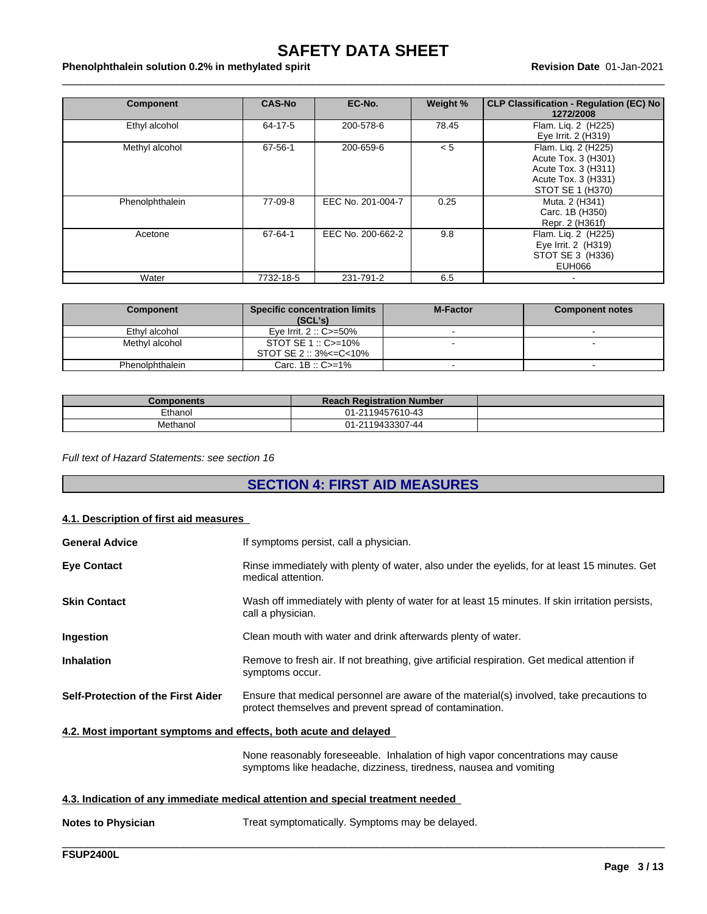#### Phenolphthalein solution 0.2% in methylated spirit example and the material of the Revision Date 01-Jan-2021

| <b>Component</b> | <b>CAS-No</b> | EC-No.            | Weight % | <b>CLP Classification - Regulation (EC) No</b><br>1272/2008                                                  |
|------------------|---------------|-------------------|----------|--------------------------------------------------------------------------------------------------------------|
| Ethyl alcohol    | 64-17-5       | 200-578-6         | 78.45    | Flam. Lig. 2 (H225)<br>Eye Irrit. 2 (H319)                                                                   |
| Methyl alcohol   | 67-56-1       | 200-659-6         | < 5      | Flam. Lig. 2 (H225)<br>Acute Tox. 3 (H301)<br>Acute Tox. 3 (H311)<br>Acute Tox. 3 (H331)<br>STOT SE 1 (H370) |
| Phenolphthalein  | 77-09-8       | EEC No. 201-004-7 | 0.25     | Muta. 2 (H341)<br>Carc. 1B (H350)<br>Repr. 2 (H361f)                                                         |
| Acetone          | 67-64-1       | EEC No. 200-662-2 | 9.8      | Flam. Lig. 2 (H225)<br>Eye Irrit. 2 (H319)<br>STOT SE 3 (H336)<br>EUH066                                     |
| Water            | 7732-18-5     | 231-791-2         | 6.5      |                                                                                                              |

| Component       | <b>Specific concentration limits</b><br>(SCL's) | <b>M-Factor</b> | <b>Component notes</b> |
|-----------------|-------------------------------------------------|-----------------|------------------------|
| Ethyl alcohol   | Eve Irrit. $2::C>=50\%$                         |                 |                        |
| Methyl alcohol  | $STOT SE 1 :: C \geq 10\%$                      |                 |                        |
|                 | $STOT SE 2 :: 3\% < = C < 10\%$                 |                 |                        |
| Phenolphthalein | Carc. $1B :: C \ge -1\%$                        |                 |                        |

| Components | <b>Reach Registration Number</b> |  |
|------------|----------------------------------|--|
| Ethanol    | 01-2119457610-43                 |  |
| Methanol   | 01-2119433307-44                 |  |

*Full text of Hazard Statements: see section 16*

# **SECTION 4: FIRST AID MEASURES**

#### **4.1. Description of first aid measures**

| <b>General Advice</b>                                                           | If symptoms persist, call a physician.                                                                                                              |  |  |  |
|---------------------------------------------------------------------------------|-----------------------------------------------------------------------------------------------------------------------------------------------------|--|--|--|
| <b>Eye Contact</b>                                                              | Rinse immediately with plenty of water, also under the eyelids, for at least 15 minutes. Get<br>medical attention.                                  |  |  |  |
| <b>Skin Contact</b>                                                             | Wash off immediately with plenty of water for at least 15 minutes. If skin irritation persists,<br>call a physician.                                |  |  |  |
| Ingestion                                                                       | Clean mouth with water and drink afterwards plenty of water.                                                                                        |  |  |  |
| <b>Inhalation</b>                                                               | Remove to fresh air. If not breathing, give artificial respiration. Get medical attention if<br>symptoms occur.                                     |  |  |  |
| <b>Self-Protection of the First Aider</b>                                       | Ensure that medical personnel are aware of the material(s) involved, take precautions to<br>protect themselves and prevent spread of contamination. |  |  |  |
| 4.2. Most important symptoms and effects, both acute and delayed                |                                                                                                                                                     |  |  |  |
|                                                                                 | None reasonably foreseeable. Inhalation of high vapor concentrations may cause<br>symptoms like headache, dizziness, tiredness, nausea and vomiting |  |  |  |
| 4.3. Indication of any immediate medical attention and special treatment needed |                                                                                                                                                     |  |  |  |
|                                                                                 |                                                                                                                                                     |  |  |  |

| <b>Notes to Physician</b> | Treat symptomatically. Symptoms may be delayed. |
|---------------------------|-------------------------------------------------|
|                           |                                                 |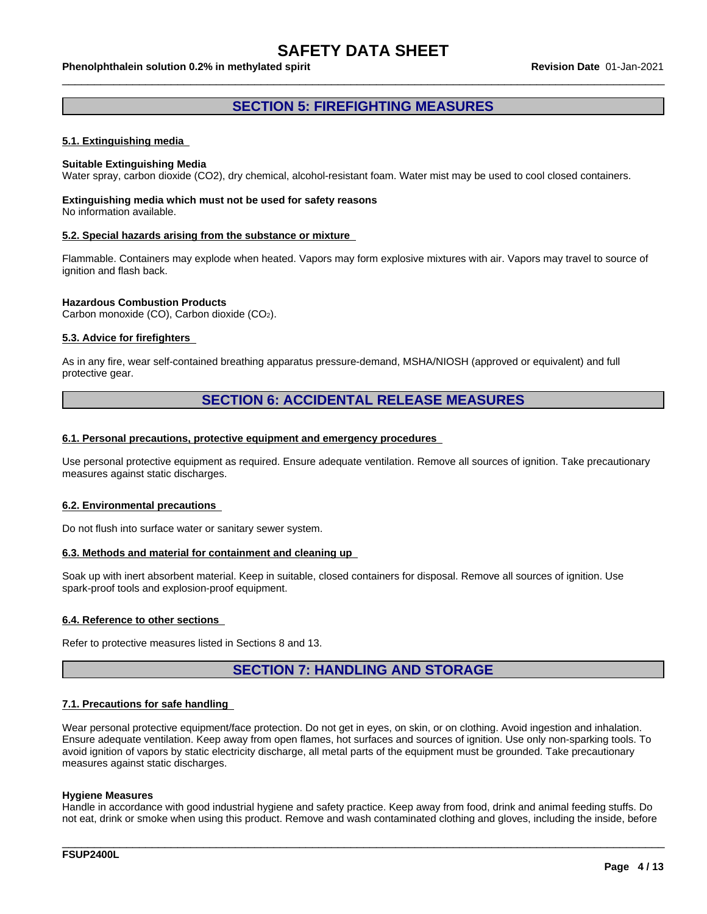#### Phenolphthalein solution 0.2% in methylated spirit example and the state of the Revision Date 01-Jan-2021

### **SECTION 5: FIREFIGHTING MEASURES**

#### **5.1. Extinguishing media**

#### **Suitable Extinguishing Media**

Water spray, carbon dioxide (CO2), dry chemical, alcohol-resistant foam. Water mist may be used to cool closed containers.

#### **Extinguishing media which must not be used for safety reasons** No information available.

#### **5.2. Special hazards arising from the substance or mixture**

Flammable. Containers may explode when heated. Vapors may form explosive mixtures with air. Vapors may travel to source of ignition and flash back.

#### **Hazardous Combustion Products**

Carbon monoxide (CO), Carbon dioxide (CO2).

#### **5.3. Advice for firefighters**

As in any fire, wear self-contained breathing apparatus pressure-demand, MSHA/NIOSH (approved or equivalent) and full protective gear.

#### **SECTION 6: ACCIDENTAL RELEASE MEASURES**

#### **6.1. Personal precautions, protective equipment and emergency procedures**

Use personal protective equipment as required. Ensure adequate ventilation. Remove all sources of ignition. Take precautionary measures against static discharges.

#### **6.2. Environmental precautions**

Do not flush into surface water or sanitary sewer system.

#### **6.3. Methods and material for containment and cleaning up**

Soak up with inert absorbent material. Keep in suitable, closed containers for disposal. Remove all sources of ignition. Use spark-proof tools and explosion-proof equipment.

#### **6.4. Reference to other sections**

Refer to protective measures listed in Sections 8 and 13.

### **SECTION 7: HANDLING AND STORAGE**

#### **7.1. Precautions for safe handling**

Wear personal protective equipment/face protection. Do not get in eyes, on skin, or on clothing. Avoid ingestion and inhalation. Ensure adequate ventilation. Keep away from open flames, hot surfaces and sources of ignition. Use only non-sparking tools. To avoid ignition of vapors by static electricity discharge, all metal parts of the equipment must be grounded. Take precautionary measures against static discharges.

#### **Hygiene Measures**

Handle in accordance with good industrial hygiene and safety practice. Keep away from food, drink and animal feeding stuffs. Do not eat, drink or smoke when using this product. Remove and wash contaminated clothing and gloves, including the inside, before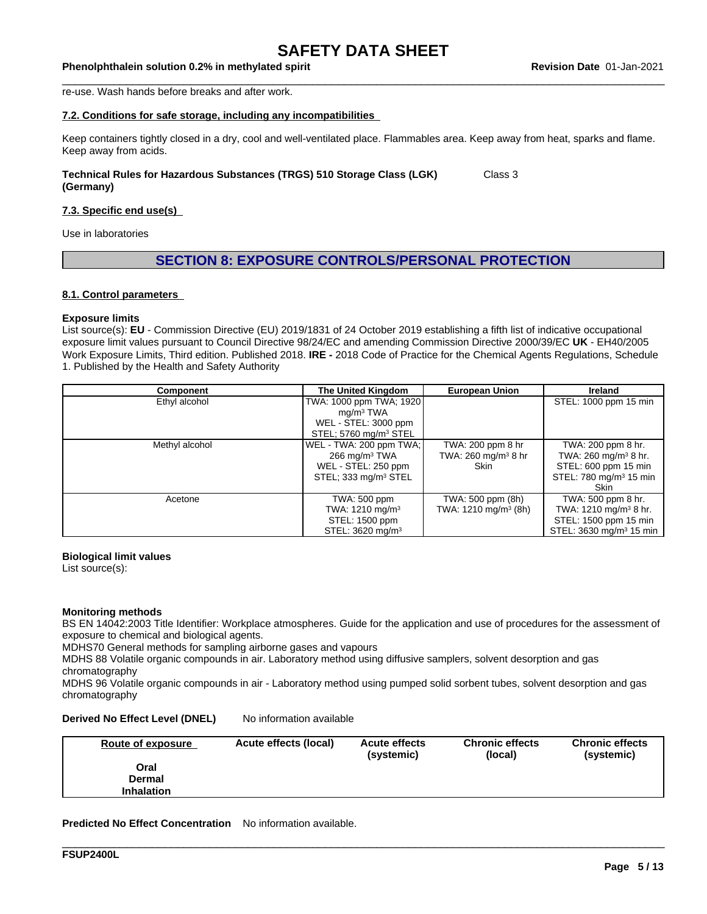Phenolphthalein solution 0.2% in methylated spirit example and the state of the Revision Date 01-Jan-2021

re-use. Wash hands before breaks and after work.

#### **7.2. Conditions for safe storage, including any incompatibilities**

Keep containers tightly closed in a dry, cool and well-ventilated place. Flammables area. Keep away from heat, sparks and flame. Keep away from acids.

#### **Technical Rules for Hazardous Substances (TRGS) 510 Storage Class (LGK) (Germany)** Class 3

#### **7.3. Specific end use(s)**

Use in laboratories

#### **SECTION 8: EXPOSURE CONTROLS/PERSONAL PROTECTION**

#### **8.1. Control parameters**

#### **Exposure limits**

List source(s): **EU** - Commission Directive (EU) 2019/1831 of 24 October 2019 establishing a fifth list ofindicative occupational exposure limit values pursuant to Council Directive 98/24/EC and amending Commission Directive 2000/39/EC UK - EH40/2005 Work Exposure Limits, Third edition. Published 2018. **IRE -** 2018 Code of Practice for the Chemical Agents Regulations, Schedule 1. Published by the Health and Safety Authority

| Component      | The United Kingdom                                                                                             | <b>European Union</b>                                          | <b>Ireland</b>                                                                                                                              |
|----------------|----------------------------------------------------------------------------------------------------------------|----------------------------------------------------------------|---------------------------------------------------------------------------------------------------------------------------------------------|
| Ethyl alcohol  | TWA: 1000 ppm TWA; 1920<br>mq/m <sup>3</sup> TWA<br>WEL - STEL: 3000 ppm<br>STEL; 5760 mg/m <sup>3</sup> STEL  |                                                                | STEL: 1000 ppm 15 min                                                                                                                       |
| Methyl alcohol | WEL - TWA: 200 ppm TWA;<br>$266 \text{ mg/m}^3$ TWA<br>WEL - STEL: 250 ppm<br>STEL; 333 mg/m <sup>3</sup> STEL | TWA: 200 ppm 8 hr<br>TWA: $260$ mg/m <sup>3</sup> 8 hr<br>Skin | TWA: 200 ppm 8 hr.<br>TWA: $260 \text{ mg/m}^3 8 \text{ hr}$ .<br>STEL: 600 ppm 15 min<br>STEL: 780 mg/m <sup>3</sup> 15 min<br><b>Skin</b> |
| Acetone        | TWA: 500 ppm<br>TWA: $1210 \text{ mg/m}^3$<br>STEL: 1500 ppm<br>STEL: 3620 mg/m <sup>3</sup>                   | TWA: 500 ppm (8h)<br>TWA: 1210 mg/m <sup>3</sup> (8h)          | TWA: 500 ppm 8 hr.<br>TWA: $1210 \text{ mg/m}^3$ 8 hr.<br>STEL: 1500 ppm 15 min<br>STEL: 3630 mg/m <sup>3</sup> 15 min                      |

#### **Biological limit values**

List source(s):

#### **Monitoring methods**

BS EN 14042:2003 Title Identifier: Workplace atmospheres. Guide for the application and use of procedures for the assessment of exposure to chemical and biological agents.

MDHS70 General methods for sampling airborne gases and vapours

MDHS 88 Volatile organic compounds in air. Laboratory method using diffusive samplers, solvent desorption and gas chromatography

MDHS 96 Volatile organic compounds in air - Laboratory method using pumped solid sorbent tubes, solvent desorption and gas chromatography

#### **Derived No Effect Level (DNEL)** No information available

| Route of exposure | Acute effects (local) | <b>Acute effects</b><br>(systemic) | <b>Chronic effects</b><br>(local) | <b>Chronic effects</b><br>(systemic) |
|-------------------|-----------------------|------------------------------------|-----------------------------------|--------------------------------------|
| Oral              |                       |                                    |                                   |                                      |
| <b>Dermal</b>     |                       |                                    |                                   |                                      |
| <b>Inhalation</b> |                       |                                    |                                   |                                      |
|                   |                       |                                    |                                   |                                      |

\_\_\_\_\_\_\_\_\_\_\_\_\_\_\_\_\_\_\_\_\_\_\_\_\_\_\_\_\_\_\_\_\_\_\_\_\_\_\_\_\_\_\_\_\_\_\_\_\_\_\_\_\_\_\_\_\_\_\_\_\_\_\_\_\_\_\_\_\_\_\_\_\_\_\_\_\_\_\_\_\_\_\_\_\_\_\_\_\_\_\_\_\_\_

**Predicted No Effect Concentration** No information available.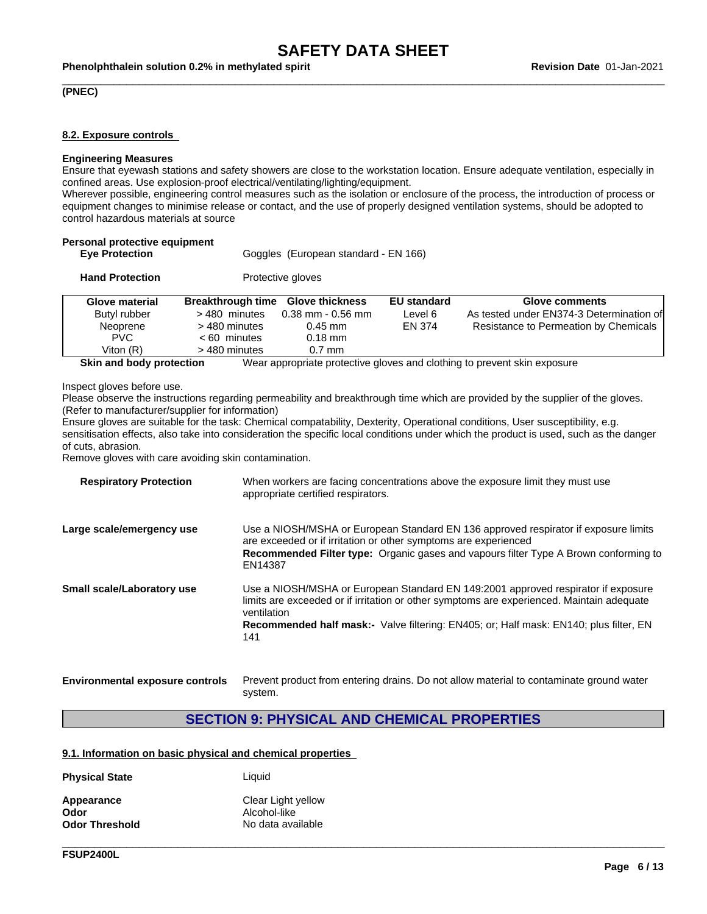#### Phenolphthalein solution 0.2% in methylated spirit example and the state of the Revision Date 01-Jan-2021

#### **(PNEC)**

#### **8.2. Exposure controls**

#### **Engineering Measures**

Ensure that eyewash stations and safety showers are close to the workstation location. Ensure adequate ventilation, especially in confined areas. Use explosion-proof electrical/ventilating/lighting/equipment.

Wherever possible, engineering control measures such as the isolation or enclosure of the process, the introduction of process or equipment changes to minimise release or contact, and the use of properly designed ventilation systems, should be adopted to control hazardous materials at source

| <b>Eye Protection</b>  | Goggles (European standard - EN 166) |                        |                    |                                          |
|------------------------|--------------------------------------|------------------------|--------------------|------------------------------------------|
| <b>Hand Protection</b> |                                      | Protective gloves      |                    |                                          |
| <b>Glove material</b>  | <b>Breakthrough time</b>             | <b>Glove thickness</b> | <b>EU standard</b> | Glove comments                           |
| Butyl rubber           | >480 minutes                         | $0.38$ mm - 0.56 mm    | Level 6            | As tested under EN374-3 Determination of |
| Neoprene               | > 480 minutes                        | $0.45$ mm              | EN 374             | Resistance to Permeation by Chemicals    |
| <b>PVC</b>             | $< 60$ minutes                       | $0.18$ mm              |                    |                                          |
| Viton $(R)$            | > 480 minutes                        | $0.7$ mm               |                    |                                          |

**Skin and body protection** Wear appropriate protective gloves and clothing to prevent skin exposure

Inspect gloves before use.

Please observe the instructions regarding permeability and breakthrough time which are provided by the supplier of the gloves. (Refer to manufacturer/supplier for information)

Ensure gloves are suitable for the task: Chemical compatability, Dexterity, Operational conditions, User susceptibility, e.g. sensitisation effects, also take into consideration the specific local conditions under which the product is used, such as the danger of cuts, abrasion.

Remove gloves with care avoiding skin contamination.

| Use a NIOSH/MSHA or European Standard EN 136 approved respirator if exposure limits<br>Large scale/emergency use<br>are exceeded or if irritation or other symptoms are experienced<br><b>Recommended Filter type:</b> Organic gases and vapours filter Type A Brown conforming to<br>EN14387<br>Use a NIOSH/MSHA or European Standard EN 149:2001 approved respirator if exposure<br>Small scale/Laboratory use<br>limits are exceeded or if irritation or other symptoms are experienced. Maintain adequate<br>ventilation<br><b>Recommended half mask:-</b> Valve filtering: EN405; or: Half mask: EN140; plus filter, EN |
|------------------------------------------------------------------------------------------------------------------------------------------------------------------------------------------------------------------------------------------------------------------------------------------------------------------------------------------------------------------------------------------------------------------------------------------------------------------------------------------------------------------------------------------------------------------------------------------------------------------------------|
|                                                                                                                                                                                                                                                                                                                                                                                                                                                                                                                                                                                                                              |
| 141                                                                                                                                                                                                                                                                                                                                                                                                                                                                                                                                                                                                                          |

**Environmental exposure controls** Prevent product from entering drains. Do not allow material to contaminate ground water system.

### **SECTION 9: PHYSICAL AND CHEMICAL PROPERTIES**

\_\_\_\_\_\_\_\_\_\_\_\_\_\_\_\_\_\_\_\_\_\_\_\_\_\_\_\_\_\_\_\_\_\_\_\_\_\_\_\_\_\_\_\_\_\_\_\_\_\_\_\_\_\_\_\_\_\_\_\_\_\_\_\_\_\_\_\_\_\_\_\_\_\_\_\_\_\_\_\_\_\_\_\_\_\_\_\_\_\_\_\_\_\_

#### **9.1. Information on basic physical and chemical properties**

| <b>Physical State</b> | Liauid             |
|-----------------------|--------------------|
| Appearance            | Clear Light yellow |
| Odor                  | Alcohol-like       |
| <b>Odor Threshold</b> | No data available  |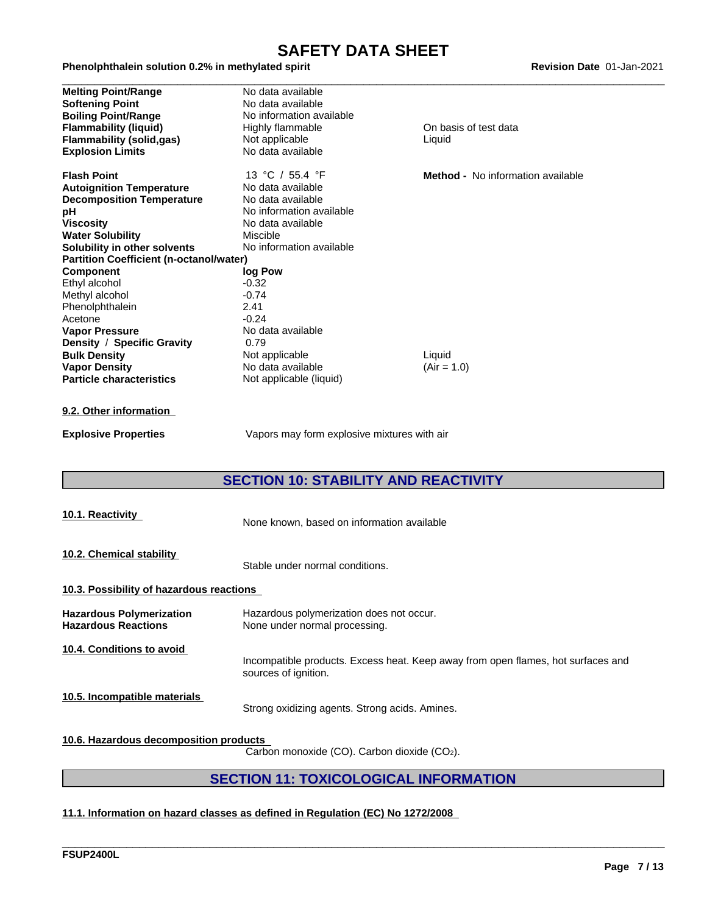#### Phenolphthalein solution 0.2% in methylated spirit example and the material of the Revision Date 01-Jan-2021

| <b>Melting Point/Range</b>                     | No data available        |                                          |
|------------------------------------------------|--------------------------|------------------------------------------|
| <b>Softening Point</b>                         | No data available        |                                          |
| <b>Boiling Point/Range</b>                     | No information available |                                          |
| <b>Flammability (liquid)</b>                   | Highly flammable         | On basis of test data                    |
| <b>Flammability (solid,gas)</b>                | Not applicable           | Liquid                                   |
| <b>Explosion Limits</b>                        | No data available        |                                          |
| <b>Flash Point</b>                             | 13 °C / 55.4 °F          | <b>Method -</b> No information available |
| <b>Autoignition Temperature</b>                | No data available        |                                          |
| <b>Decomposition Temperature</b>               | No data available        |                                          |
| рH                                             | No information available |                                          |
| Viscosity                                      | No data available        |                                          |
| <b>Water Solubility</b>                        | Miscible                 |                                          |
| Solubility in other solvents                   | No information available |                                          |
| <b>Partition Coefficient (n-octanol/water)</b> |                          |                                          |
| <b>Component</b>                               | log Pow                  |                                          |
| Ethyl alcohol                                  | $-0.32$                  |                                          |
| Methyl alcohol                                 | $-0.74$                  |                                          |
| Phenolphthalein                                | 2.41                     |                                          |
| Acetone                                        | $-0.24$                  |                                          |
| <b>Vapor Pressure</b>                          | No data available        |                                          |
| Density / Specific Gravity                     | 0.79                     |                                          |
| <b>Bulk Density</b>                            | Not applicable           | Liquid                                   |
| <b>Vapor Density</b>                           | No data available        | $(Air = 1.0)$                            |
| <b>Particle characteristics</b>                | Not applicable (liquid)  |                                          |
|                                                |                          |                                          |

#### **9.2. Other information**

**Explosive Properties** Vapors may form explosive mixtures with air

## **SECTION 10: STABILITY AND REACTIVITY**

| 10.1. Reactivity                                              | None known, based on information available                                                               |
|---------------------------------------------------------------|----------------------------------------------------------------------------------------------------------|
| 10.2. Chemical stability                                      | Stable under normal conditions.                                                                          |
| 10.3. Possibility of hazardous reactions                      |                                                                                                          |
| <b>Hazardous Polymerization</b><br><b>Hazardous Reactions</b> | Hazardous polymerization does not occur.<br>None under normal processing.                                |
| 10.4. Conditions to avoid                                     | Incompatible products. Excess heat. Keep away from open flames, hot surfaces and<br>sources of ignition. |
| 10.5. Incompatible materials                                  | Strong oxidizing agents. Strong acids. Amines.                                                           |
| 10.6. Hazardous decomposition products                        |                                                                                                          |

Carbon monoxide (CO). Carbon dioxide (CO2).

## **SECTION 11: TOXICOLOGICAL INFORMATION**

\_\_\_\_\_\_\_\_\_\_\_\_\_\_\_\_\_\_\_\_\_\_\_\_\_\_\_\_\_\_\_\_\_\_\_\_\_\_\_\_\_\_\_\_\_\_\_\_\_\_\_\_\_\_\_\_\_\_\_\_\_\_\_\_\_\_\_\_\_\_\_\_\_\_\_\_\_\_\_\_\_\_\_\_\_\_\_\_\_\_\_\_\_\_

#### **11.1. Information on hazard classes as defined in Regulation (EC) No 1272/2008**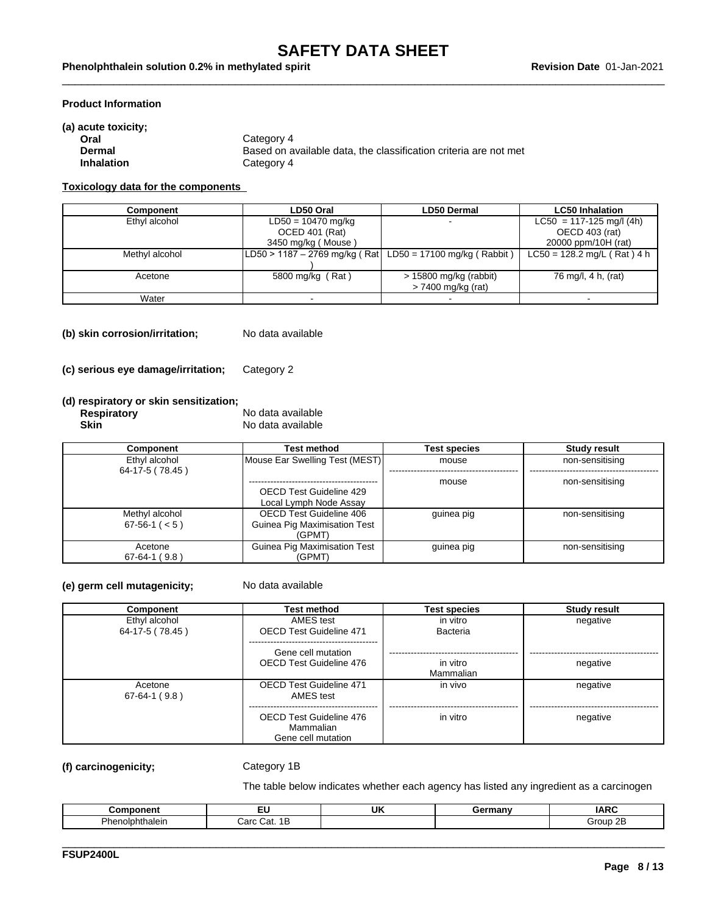#### **Product Information**

| (a) acute toxicity; |                                                                  |
|---------------------|------------------------------------------------------------------|
| Oral                | Category 4                                                       |
| Dermal              | Based on available data, the classification criteria are not met |
| <b>Inhalation</b>   | Category 4                                                       |

#### **Toxicology data for the components**

| Component      | LD50 Oral                                                          | <b>LD50 Dermal</b>       | <b>LC50 Inhalation</b>        |  |
|----------------|--------------------------------------------------------------------|--------------------------|-------------------------------|--|
| Ethyl alcohol  | $LD50 = 10470$ mg/kg                                               |                          | $LC50 = 117 - 125$ mg/l (4h)  |  |
|                | OCED 401 (Rat)                                                     |                          | OECD 403 (rat)                |  |
|                | 3450 mg/kg (Mouse)                                                 |                          | 20000 ppm/10H (rat)           |  |
| Methyl alcohol | $ LD50 \rangle$ 1187 – 2769 mg/kg (Rat LD50 = 17100 mg/kg (Rabbit) |                          | $LC50 = 128.2$ mg/L (Rat) 4 h |  |
|                |                                                                    |                          |                               |  |
| Acetone        | 5800 mg/kg (Rat)                                                   | $> 15800$ mg/kg (rabbit) | 76 mg/l, 4 h, (rat)           |  |
|                |                                                                    | > 7400 mg/kg (rat)       |                               |  |
| Water          |                                                                    |                          |                               |  |

**(b) skin corrosion/irritation;** No data available

**(c) serious eye damage/irritation;** Category 2

#### **(d) respiratory or skin sensitization;**

| <b>Respiratory</b> | No data available |
|--------------------|-------------------|
| Skin               | No data available |

| Component           | Test method                    | <b>Test species</b> | <b>Study result</b> |
|---------------------|--------------------------------|---------------------|---------------------|
| Ethyl alcohol       | Mouse Ear Swelling Test (MEST) | mouse               | non-sensitising     |
| 64-17-5 (78.45)     |                                |                     |                     |
|                     |                                | mouse               | non-sensitising     |
|                     | OECD Test Guideline 429        |                     |                     |
|                     | Local Lymph Node Assay         |                     |                     |
| Methyl alcohol      | OECD Test Guideline 406        | guinea pig          | non-sensitising     |
| $67-56-1$ ( $< 5$ ) | Guinea Pig Maximisation Test   |                     |                     |
|                     | (GPMT)                         |                     |                     |
| Acetone             | Guinea Pig Maximisation Test   | guinea pig          | non-sensitising     |
| $67-64-1(9.8)$      | (GPMT)                         |                     |                     |

#### **(e) germ cell mutagenicity;** No data available

| Component                        | <b>Test method</b>                                         | <b>Test species</b>   | <b>Study result</b> |
|----------------------------------|------------------------------------------------------------|-----------------------|---------------------|
| Ethyl alcohol<br>64-17-5 (78.45) | AMES test<br><b>OECD Test Guideline 471</b>                | in vitro<br>Bacteria  | negative            |
|                                  | Gene cell mutation<br>OECD Test Guideline 476              | in vitro<br>Mammalian | negative            |
| Acetone<br>$67-64-1(9.8)$        | <b>OECD Test Guideline 471</b><br>AMES test                | in vivo               | negative            |
|                                  | OECD Test Guideline 476<br>Mammalian<br>Gene cell mutation | in vitro              | negative            |

#### **(f) carcinogenicity;** Category 1B

The table below indicates whether each agency has listed any ingredient as a carcinogen

|                                                     | --                          | UK | าทพ<br>шан | <b></b><br>וגו<br>. |
|-----------------------------------------------------|-----------------------------|----|------------|---------------------|
| -<br><b>Uhor</b><br>06 <b>th01018</b><br>ПU<br>шањ. | Carc:<br>ໍ່ຕະ<br>udi.<br>ш. |    |            | 2B<br>Group         |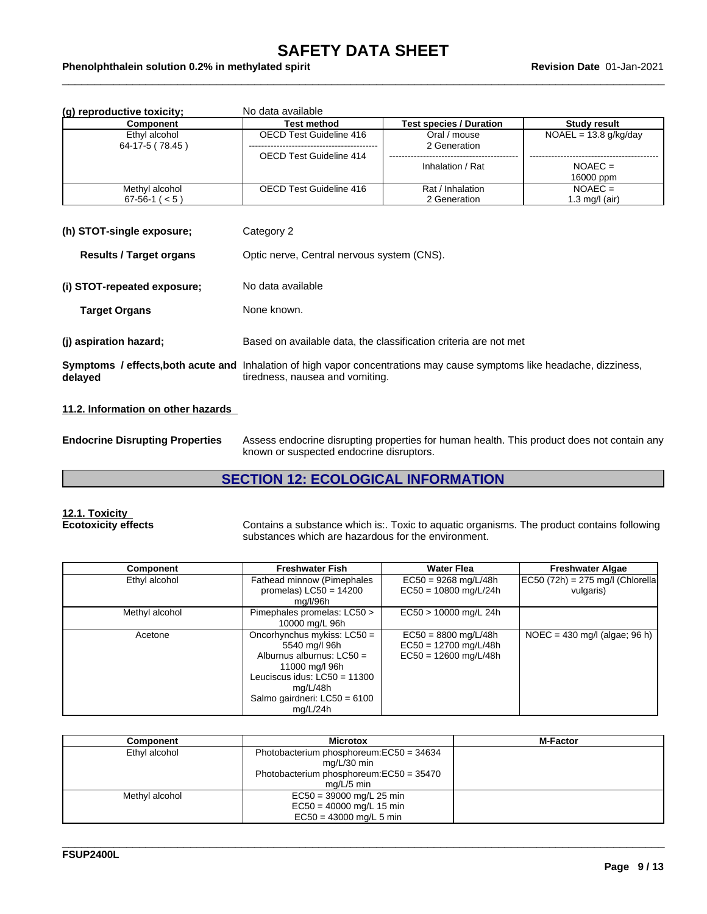| (g) reproductive toxicity;       | No data available       |                                            |                         |  |  |
|----------------------------------|-------------------------|--------------------------------------------|-------------------------|--|--|
| Component                        | Test method             | <b>Test species / Duration</b>             | Study result            |  |  |
| Ethyl alcohol<br>64-17-5 (78.45) | OECD Test Guideline 416 | Oral / mouse<br>2 Generation               | $NOAEL = 13.8 g/kg/day$ |  |  |
|                                  | OECD Test Guideline 414 |                                            |                         |  |  |
|                                  |                         | Inhalation / Rat                           | $NOAEC =$<br>16000 ppm  |  |  |
| Methyl alcohol                   | OECD Test Guideline 416 | Rat / Inhalation                           | $NOAEC =$               |  |  |
| $67-56-1$ ( $< 5$ )              |                         | 2 Generation                               | 1.3 mg/l (air)          |  |  |
| (h) STOT-single exposure;        | Category 2              |                                            |                         |  |  |
| <b>Results / Target organs</b>   |                         | Optic nerve, Central nervous system (CNS). |                         |  |  |
| (i) STOT-repeated exposure;      | No data available       |                                            |                         |  |  |

| Target Organs | None known. |
|---------------|-------------|
|               |             |

**(j) aspiration hazard;** Based on available data, the classification criteria are not met

|         | Symptoms / effects, both acute and Inhalation of high vapor concentrations may cause symptoms like headache, dizziness, |
|---------|-------------------------------------------------------------------------------------------------------------------------|
| delayed | tiredness, nausea and vomiting.                                                                                         |

#### **11.2. Information on other hazards**

**Endocrine Disrupting Properties** Assess endocrine disrupting properties for human health. This product does not contain any known or suspected endocrine disruptors.

### **SECTION 12: ECOLOGICAL INFORMATION**

# **12.1. Toxicity**

**Ecotoxicity effects** Contains a substance which is:. Toxic to aquatic organisms. The product contains following substances which are hazardous for the environment.

| Component      | <b>Freshwater Fish</b>                                                                                                                                                                  | <b>Water Flea</b>                                                            | <b>Freshwater Algae</b>                           |
|----------------|-----------------------------------------------------------------------------------------------------------------------------------------------------------------------------------------|------------------------------------------------------------------------------|---------------------------------------------------|
| Ethyl alcohol  | Fathead minnow (Pimephales<br>promelas) $LC50 = 14200$<br>mg/l/96h                                                                                                                      | $EC50 = 9268$ mg/L/48h<br>$EC50 = 10800$ mg/L/24h                            | $ EC50 (72h) = 275$ mg/l (Chlorella)<br>vulgaris) |
| Methyl alcohol | Pimephales promelas: LC50 ><br>10000 mg/L 96h                                                                                                                                           | EC50 > 10000 mg/L 24h                                                        |                                                   |
| Acetone        | Oncorhynchus mykiss: LC50 =<br>5540 mg/l 96h<br>Alburnus alburnus: $LC50 =$<br>11000 mg/l 96h<br>Leuciscus idus: $LC50 = 11300$<br>mg/L/48h<br>Salmo gairdneri: LC50 = 6100<br>mg/L/24h | $EC50 = 8800$ mg/L/48h<br>$EC50 = 12700$ mg/L/48h<br>$EC50 = 12600$ mg/L/48h | $NOEC = 430$ mg/l (algae; 96 h)                   |

| Component      | <b>Microtox</b>                                                                                                    | <b>M-Factor</b> |
|----------------|--------------------------------------------------------------------------------------------------------------------|-----------------|
| Ethyl alcohol  | Photobacterium phosphoreum: EC50 = 34634<br>mg/L/30 min<br>Photobacterium phosphoreum:EC50 = 35470<br>$ma/L/5$ min |                 |
| Methyl alcohol | $EC50 = 39000$ mg/L 25 min<br>$EC50 = 40000$ mg/L 15 min<br>$EC50 = 43000$ mg/L 5 min                              |                 |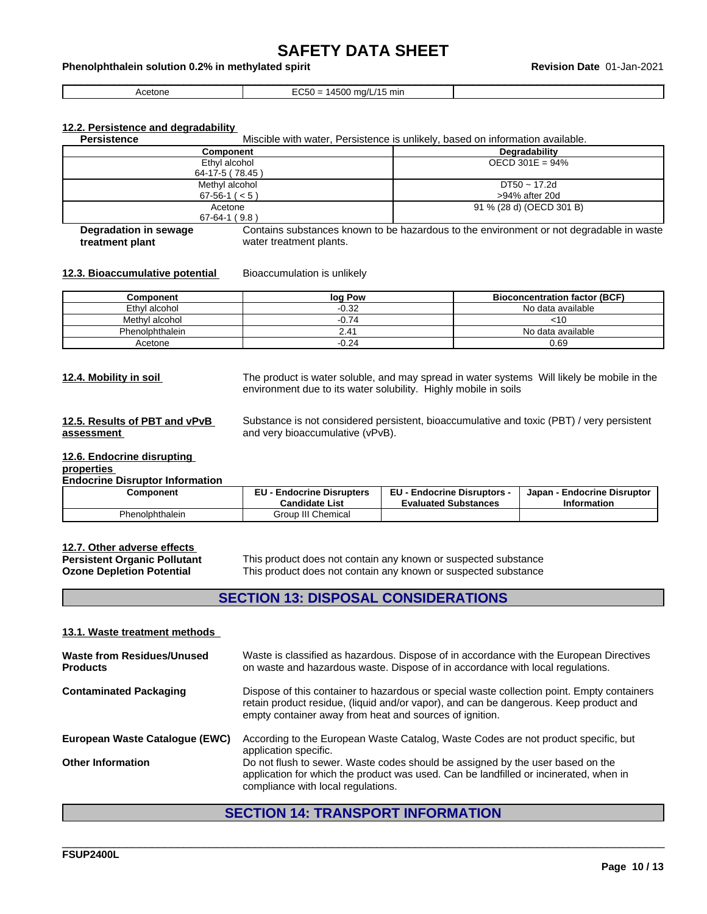```
Acetone EC50 = 14500 mg/L/15 min
```
#### **12.2. Persistence and degradability**

**Persistence** Miscible with water, Persistence is unlikely, based on information available.

| <b>Component</b>                      | <b>Degradability</b>           |
|---------------------------------------|--------------------------------|
| Ethyl alcohol<br>64-17-5 (78.45)      | OECD 301E = $94\%$             |
| Methyl alcohol<br>$67-56-1$ ( $< 5$ ) | DT50 ~ 17.2d<br>>94% after 20d |
| Acetone<br>$67-64-1(9.8)$             | 91 % (28 d) (OECD 301 B)       |

**Degradation in sewage treatment plant** Contains substances known to be hazardous to the environment or not degradable in waste water treatment plants.

#### **12.3. Bioaccumulative potential** Bioaccumulation is unlikely

| Component       | log Pow | <b>Bioconcentration factor (BCF)</b> |
|-----------------|---------|--------------------------------------|
| Ethyl alcohol   | $-0.32$ | No data available                    |
| Methyl alcohol  | $-0.74$ | 31 U                                 |
| Phenolphthalein | ∠.41    | No data available                    |
| Acetone         | $-0.24$ | 0.69                                 |

**12.4. Mobility in soil** The product is water soluble, and may spread in water systems Will likely be mobile in the environment due to its water solubility. Highly mobile in soils

#### **12.5. Results of PBT and vPvB assessment**

Substance is not considered persistent, bioaccumulative and toxic (PBT) / very persistent and very bioaccumulative (vPvB).

#### **12.6. Endocrine disrupting properties**

#### **Endocrine Disruptor Information**

| Component       | е н<br><b>Endocrine Disrupters</b><br><b>Candidate List</b> | <b>EU - Endocrine Disruptors -</b><br><b>Evaluated Substances</b> | · Endocrine Disruptor<br>Japan<br><b>Information</b> |
|-----------------|-------------------------------------------------------------|-------------------------------------------------------------------|------------------------------------------------------|
| Phenolphthalein | Group III Chemical                                          |                                                                   |                                                      |

# **12.7. Other adverse effects**

**Persistent Organic Pollutant** This product does not contain any known or suspected substance<br> **Ozone Depletion Potential** This product does not contain any known or suspected substance This product does not contain any known or suspected substance

#### **SECTION 13: DISPOSAL CONSIDERATIONS**

#### **13.1. Waste treatment methods**

| Waste is classified as hazardous. Dispose of in accordance with the European Directives<br>on waste and hazardous waste. Dispose of in accordance with local regulations.                                                                      |
|------------------------------------------------------------------------------------------------------------------------------------------------------------------------------------------------------------------------------------------------|
| Dispose of this container to hazardous or special waste collection point. Empty containers<br>retain product residue, (liquid and/or vapor), and can be dangerous. Keep product and<br>empty container away from heat and sources of ignition. |
| According to the European Waste Catalog, Waste Codes are not product specific, but<br>application specific.                                                                                                                                    |
| Do not flush to sewer. Waste codes should be assigned by the user based on the<br>application for which the product was used. Can be landfilled or incinerated, when in<br>compliance with local regulations.                                  |
|                                                                                                                                                                                                                                                |

### **SECTION 14: TRANSPORT INFORMATION**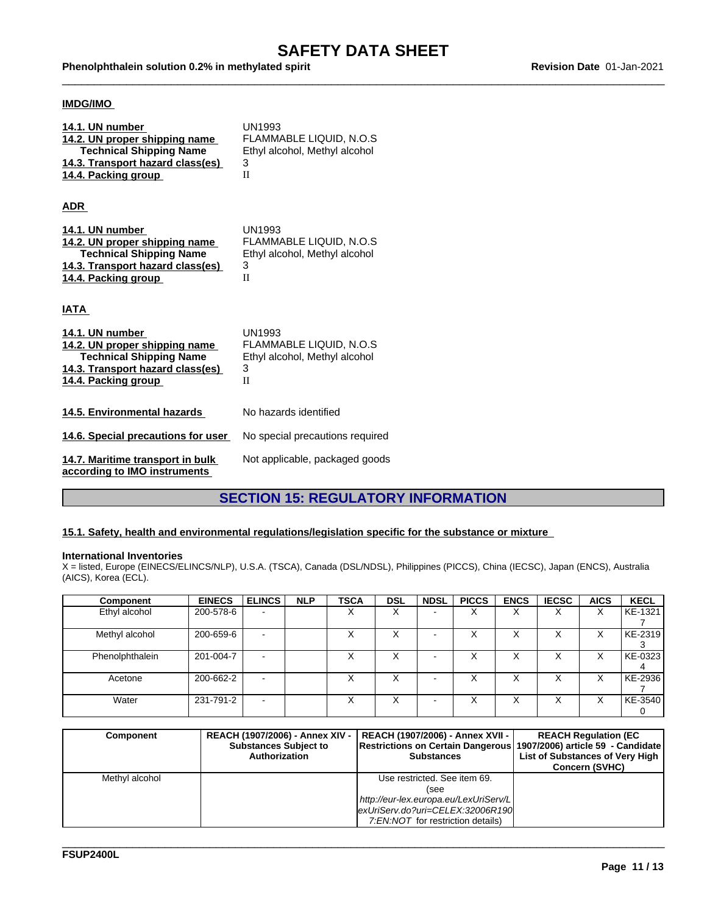Phenolphthalein solution 0.2% in methylated spirit example and the material of the Revision Date 01-Jan-2021

#### **IMDG/IMO**

| 14.1. UN number<br>14.2. UN proper shipping name<br><b>Technical Shipping Name</b><br>14.3. Transport hazard class(es)<br>14.4. Packing group | <b>UN1993</b><br><b>FLAMMABLE LIQUID, N.O.S</b><br>Ethyl alcohol, Methyl alcohol<br>3<br>H |
|-----------------------------------------------------------------------------------------------------------------------------------------------|--------------------------------------------------------------------------------------------|
| <b>ADR</b>                                                                                                                                    |                                                                                            |
| 14.1. UN number<br>14.2. UN proper shipping name<br><b>Technical Shipping Name</b><br>14.3. Transport hazard class(es)<br>14.4. Packing group | <b>UN1993</b><br><b>FLAMMABLE LIQUID, N.O.S</b><br>Ethyl alcohol, Methyl alcohol<br>3<br>H |
| IATA                                                                                                                                          |                                                                                            |
| 14.1. UN number<br>14.2. UN proper shipping name<br><b>Technical Shipping Name</b><br>14.3. Transport hazard class(es)<br>14.4. Packing group | <b>UN1993</b><br><b>FLAMMABLE LIQUID. N.O.S</b><br>Ethyl alcohol, Methyl alcohol<br>3<br>H |
| 14.5. Environmental hazards                                                                                                                   | No hazards identified                                                                      |
| 14.6. Special precautions for user                                                                                                            | No special precautions required                                                            |
| 14.7. Maritime transport in bulk<br>according to IMO instruments                                                                              | Not applicable, packaged goods                                                             |

# **SECTION 15: REGULATORY INFORMATION**

#### **15.1. Safety, health and environmental regulations/legislation specific for the substance or mixture**

#### **International Inventories**

X = listed, Europe (EINECS/ELINCS/NLP), U.S.A. (TSCA), Canada (DSL/NDSL), Philippines (PICCS), China (IECSC), Japan (ENCS), Australia (AICS), Korea (ECL).

| <b>Component</b> | <b>EINECS</b> | <b>ELINCS</b>            | <b>NLP</b> | <b>TSCA</b> | <b>DSL</b> | <b>NDSL</b> | <b>PICCS</b> | <b>ENCS</b>               | <b>IECSC</b> | <b>AICS</b>       | <b>KECL</b> |
|------------------|---------------|--------------------------|------------|-------------|------------|-------------|--------------|---------------------------|--------------|-------------------|-------------|
| Ethyl alcohol    | 200-578-6     | $\overline{\phantom{0}}$ |            | ∧           | ∧          |             |              | ⌒                         | ⌒            | $\checkmark$<br>⋏ | KE-1321     |
| Methyl alcohol   | 200-659-6     | $\overline{\phantom{0}}$ |            |             | ⌒          |             |              | $\lambda$                 | $\lambda$    | ⌒                 | KE-2319     |
| Phenolphthalein  | 201-004-7     | -                        |            | ⌒           | ⌒          |             | $\lambda$    | $\checkmark$<br>$\lambda$ | ⌒            | v<br>⌒            | KE-0323     |
| Acetone          | 200-662-2     | $\overline{\phantom{a}}$ |            | ⌒           | $\lambda$  |             | ⌒            | $\lambda$                 | ⌒            |                   | KE-2936     |
| Water            | 231-791-2     | $\overline{\phantom{a}}$ |            | ⌒           | ⌒          |             | ⌒            | ⌒                         | ⌒            | ⌒                 | KE-3540     |

| <b>Component</b> | <b>REACH (1907/2006) - Annex XIV -</b><br><b>Substances Subject to</b><br>Authorization | REACH (1907/2006) - Annex XVII -  <br>Restrictions on Certain Dangerous 1907/2006) article 59 - Candidate<br><b>Substances</b> | <b>REACH Regulation (EC)</b><br>List of Substances of Very High<br><b>Concern (SVHC)</b> |
|------------------|-----------------------------------------------------------------------------------------|--------------------------------------------------------------------------------------------------------------------------------|------------------------------------------------------------------------------------------|
| Methyl alcohol   |                                                                                         | Use restricted. See item 69.                                                                                                   |                                                                                          |
|                  |                                                                                         | (see                                                                                                                           |                                                                                          |
|                  |                                                                                         | http://eur-lex.europa.eu/LexUriServ/L                                                                                          |                                                                                          |
|                  |                                                                                         | exUriServ.do?uri=CELEX:32006R190                                                                                               |                                                                                          |
|                  |                                                                                         | 7:EN:NOT for restriction details)                                                                                              |                                                                                          |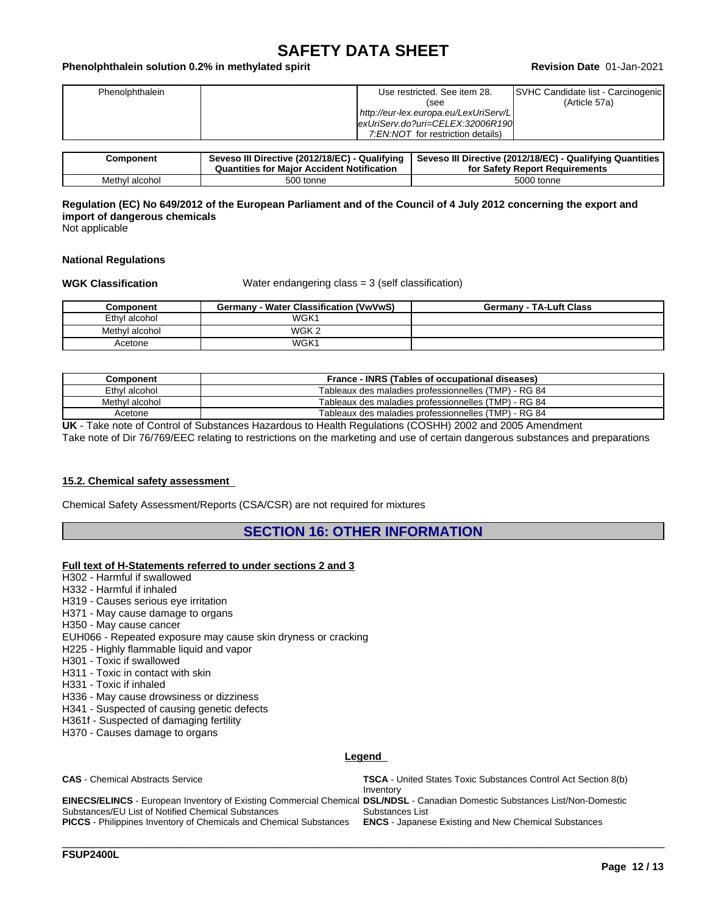#### Phenolphthalein solution 0.2% in methylated spirit example and the state of the Revision Date 01-Jan-2021

| Phenolphthalein | SVHC Candidate list - Carcinogenic<br>Use restricted. See item 28. |
|-----------------|--------------------------------------------------------------------|
|                 | (Article 57a)<br>(see                                              |
|                 | http://eur-lex.europa.eu/LexUriServ/L                              |
|                 | exUriServ.do?uri=CELEX:32006R190                                   |
|                 | 7:EN:NOT for restriction details)                                  |

| Component      | Seveso III Directive (2012/18/EC) - Qualifying<br><b>Quantities for Major Accident Notification</b> | Qualifying Quantities<br>Seveso III Directive (2012/18/EC) - (<br>for Safety Report Requirements |
|----------------|-----------------------------------------------------------------------------------------------------|--------------------------------------------------------------------------------------------------|
| Methyl alcohol | 500 tonne                                                                                           | 5000 tonne                                                                                       |

#### Regulation (EC) No 649/2012 of the European Parliament and of the Council of 4 July 2012 concerning the export and **import of dangerous chemicals**

Not applicable

#### **National Regulations**

**WGK Classification** Water endangering class = 3 (self classification)

| Component      | Germany - Water Classification (VwVwS) | <b>Germany - TA-Luft Class</b> |
|----------------|----------------------------------------|--------------------------------|
| Ethyl alcohol  | WGK <sup>1</sup>                       |                                |
| Methyl alcohol | WGK 2                                  |                                |
| Acetone        | WGK1                                   |                                |

| Component      | France - INRS (Tables of occupational diseases)      |
|----------------|------------------------------------------------------|
| Ethyl alcohol  | Tableaux des maladies professionnelles (TMP) - RG 84 |
| Methyl alcohol | Tableaux des maladies professionnelles (TMP) - RG 84 |
| Acetone        | Tableaux des maladies professionnelles (TMP) - RG 84 |

**UK** - Take note of Control of Substances Hazardous to Health Regulations (COSHH) 2002 and 2005 Amendment

Take note of Dir 76/769/EEC relating to restrictions on the marketing and use of certain dangerous substances and preparations

#### **15.2. Chemical safety assessment**

Chemical Safety Assessment/Reports (CSA/CSR) are not required for mixtures

#### **SECTION 16: OTHER INFORMATION**

#### **Full text of H-Statements referred to undersections 2 and 3**

- H302 Harmful if swallowed
- H332 Harmful if inhaled
- H319 Causes serious eye irritation
- H371 May cause damage to organs
- H350 May cause cancer
- EUH066 Repeated exposure may cause skin dryness or cracking
- H225 Highly flammable liquid and vapor
- H301 Toxic if swallowed
- H311 Toxic in contact with skin
- H331 Toxic if inhaled
- H336 May cause drowsiness or dizziness
- H341 Suspected of causing genetic defects
- H361f Suspected of damaging fertility
- H370 Causes damage to organs

#### **Legend**

| <b>CAS</b> - Chemical Abstracts Service                                                                                             | <b>TSCA</b> - United States Toxic Substances Control Act Section 8(b) |
|-------------------------------------------------------------------------------------------------------------------------------------|-----------------------------------------------------------------------|
|                                                                                                                                     | Inventory                                                             |
| <b>EINECS/ELINCS</b> - European Inventory of Existing Commercial Chemical DSL/NDSL - Canadian Domestic Substances List/Non-Domestic |                                                                       |
| Substances/EU List of Notified Chemical Substances                                                                                  | Substances List                                                       |
| <b>PICCS</b> - Philippines Inventory of Chemicals and Chemical Substances                                                           | <b>ENCS</b> - Japanese Existing and New Chemical Substances           |